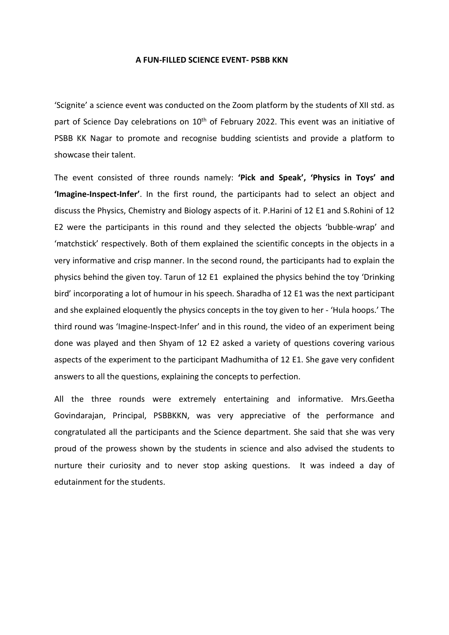## **A FUN-FILLED SCIENCE EVENT- PSBB KKN**

'Scignite' a science event was conducted on the Zoom platform by the students of XII std. as part of Science Day celebrations on 10<sup>th</sup> of February 2022. This event was an initiative of PSBB KK Nagar to promote and recognise budding scientists and provide a platform to showcase their talent.

The event consisted of three rounds namely: **'Pick and Speak', 'Physics in Toys' and 'Imagine-Inspect-Infer'**. In the first round, the participants had to select an object and discuss the Physics, Chemistry and Biology aspects of it. P.Harini of 12 E1 and S.Rohini of 12 E2 were the participants in this round and they selected the objects 'bubble-wrap' and 'matchstick' respectively. Both of them explained the scientific concepts in the objects in a very informative and crisp manner. In the second round, the participants had to explain the physics behind the given toy. Tarun of 12 E1 explained the physics behind the toy 'Drinking bird' incorporating a lot of humour in his speech. Sharadha of 12 E1 was the next participant and she explained eloquently the physics concepts in the toy given to her - 'Hula hoops.' The third round was 'Imagine-Inspect-Infer' and in this round, the video of an experiment being done was played and then Shyam of 12 E2 asked a variety of questions covering various aspects of the experiment to the participant Madhumitha of 12 E1. She gave very confident answers to all the questions, explaining the concepts to perfection.

All the three rounds were extremely entertaining and informative. Mrs.Geetha Govindarajan, Principal, PSBBKKN, was very appreciative of the performance and congratulated all the participants and the Science department. She said that she was very proud of the prowess shown by the students in science and also advised the students to nurture their curiosity and to never stop asking questions. It was indeed a day of edutainment for the students.